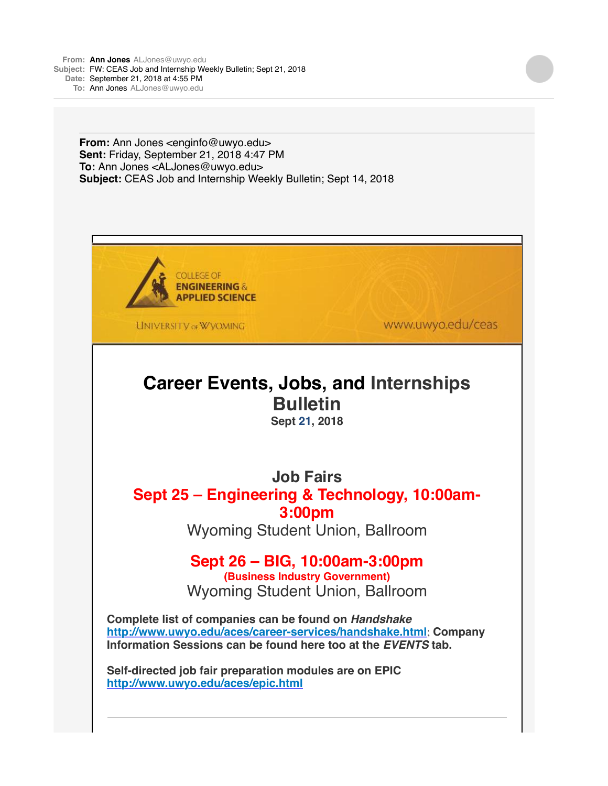**From: Ann [Jones](mailto:JonesALJones@uwyo.edu)** [ALJones@uwyo.edu](mailto:JonesALJones@uwyo.edu) **Subject:** FW: CEAS Job and Internship Weekly Bulletin; Sept 21, 2018 **Date:** September 21, 2018 at 4:55 PM **To:** Ann [Jones](mailto:JonesALJones@uwyo.edu) [ALJones@uwyo.edu](mailto:JonesALJones@uwyo.edu)

> **From:** Ann Jones <enginfo@uwyo.edu> **Sent:** Friday, September 21, 2018 4:47 PM **To:** Ann Jones <ALJones@uwyo.edu> **Subject:** CEAS Job and Internship Weekly Bulletin; Sept 14, 2018



**UNIVERSITY OF WYOMING** 

www.uwyo.edu/ceas

# **Career Events, Jobs, and Internships Bulletin**

**Sept 21, 2018**

**Job Fairs Sept 25 – Engineering & Technology, 10:00am-3:00pm**

Wyoming Student Union, Ballroom

## **Sept 26 – BIG, 10:00am-3:00pm**

**(Business Industry Government)** Wyoming Student Union, Ballroom

**Complete list of companies can be found on** *Handshake* **[http://www.uwyo.edu/aces/career-services/handshake.html](http://r20.rs6.net/tn.jsp?f=001eyy4utvacIx0nvRXKeoC4pIIAnz_KzeJQ7iagDUMvJZlr6wHFyam44kyjihxCZ5M_rW1C4iuHhnvYsNnhRfT1iApAzm647QyZJ84PM_TmvJ6SCkHdVuCmWBbCmIUgnYTEkw-UmLJQ1zxF8jGtTInhAv2RzmVsTaKM9Q4DT7orNTA_wKy7q6sBUsJs3ZILuB6&c=B5j8l2snOhhvR7aYStrJnC0I9Ge1h82Ts5wrAcSV3rx5vgZCuKDipA==&ch=8SOXYk2sckVdQXs6o8qH-3ISfUzLrlZ2iqDA-1ouUbpYekWk3xecag==)**; **Company Information Sessions can be found here too at the** *EVENTS* **tab.**

**Self-directed job fair preparation modules are on EPIC [http://www.uwyo.edu/aces/epic.html](http://r20.rs6.net/tn.jsp?f=001eyy4utvacIx0nvRXKeoC4pIIAnz_KzeJQ7iagDUMvJZlr6wHFyam40eTExXYpFqeBC39IZFUtxhVI2-RaFp3fTaVZ1AdqWckE0VW9tTjKjbwKUpagRVKNfuLMvNtPH5WXY7ykxSZEWZeBhSem0UtXjq287o1EYbv&c=B5j8l2snOhhvR7aYStrJnC0I9Ge1h82Ts5wrAcSV3rx5vgZCuKDipA==&ch=8SOXYk2sckVdQXs6o8qH-3ISfUzLrlZ2iqDA-1ouUbpYekWk3xecag==)**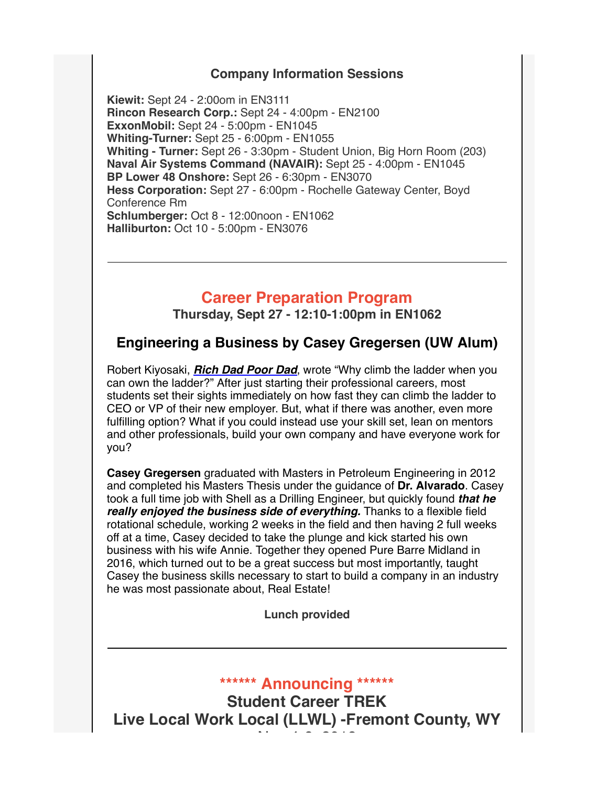#### **Company Information Sessions**

**Kiewit:** Sept 24 - 2:00om in EN3111 **Rincon Research Corp.:** Sept 24 - 4:00pm - EN2100 **ExxonMobil:** Sept 24 - 5:00pm - EN1045 **Whiting-Turner:** Sept 25 - 6:00pm - EN1055 **Whiting - Turner:** Sept 26 - 3:30pm - Student Union, Big Horn Room (203) **Naval Air Systems Command (NAVAIR):** Sept 25 - 4:00pm - EN1045 **BP Lower 48 Onshore:** Sept 26 - 6:30pm - EN3070 **Hess Corporation:** Sept 27 - 6:00pm - Rochelle Gateway Center, Boyd Conference Rm **Schlumberger:** Oct 8 - 12:00noon - EN1062 **Halliburton:** Oct 10 - 5:00pm - EN3076

#### **Career Preparation Program**

**Thursday, Sept 27 - 12:10-1:00pm in EN1062**

#### **Engineering a Business by Casey Gregersen (UW Alum)**

Robert Kiyosaki, *[Rich Dad Poor Dad](http://r20.rs6.net/tn.jsp?f=001eyy4utvacIx0nvRXKeoC4pIIAnz_KzeJQ7iagDUMvJZlr6wHFyam44kyjihxCZ5MePhiw5lzJCNlVI6k0r6IRLAc6wl48NRb0zqwvxNOEi7rKQSDVpNeOpTKqciX0N9d4qeoSI7cxCG2IU8UHeMY1gdUcnXES5Z9t8WwhlrRGYJXP3UWj2Fkj8to4eJd1cYnMgf1WEfnSM1CmPWXb3rC0su3oFM1F3AAKQoayZWs7GnvcpWhMFaSTNoxOESobDXHAVQ6aSuaC18szx29vOyOTssRnMqDccU6hU21NifCkGr_SbRRwcVl5iojq_a7WLsGIim_uL8JjCLZSmXzNqdo4oAyU53PiR00COI0hxt754M=&c=B5j8l2snOhhvR7aYStrJnC0I9Ge1h82Ts5wrAcSV3rx5vgZCuKDipA==&ch=8SOXYk2sckVdQXs6o8qH-3ISfUzLrlZ2iqDA-1ouUbpYekWk3xecag==)*, wrote "Why climb the ladder when you can own the ladder?" After just starting their professional careers, most students set their sights immediately on how fast they can climb the ladder to CEO or VP of their new employer. But, what if there was another, even more fulfilling option? What if you could instead use your skill set, lean on mentors and other professionals, build your own company and have everyone work for you?

**Casey Gregersen** graduated with Masters in Petroleum Engineering in 2012 and completed his Masters Thesis under the guidance of **Dr. Alvarado**. Casey took a full time job with Shell as a Drilling Engineer, but quickly found *that he really enjoyed the business side of everything.* Thanks to a flexible field rotational schedule, working 2 weeks in the field and then having 2 full weeks off at a time, Casey decided to take the plunge and kick started his own business with his wife Annie. Together they opened Pure Barre Midland in 2016, which turned out to be a great success but most importantly, taught Casey the business skills necessary to start to build a company in an industry he was most passionate about, Real Estate!

**Lunch provided**

**\*\*\*\*\*\* Announcing \*\*\*\*\*\***

**Student Career TREK Live Local Work Local (LLWL) -Fremont County, WY** Nov 4-6, 2018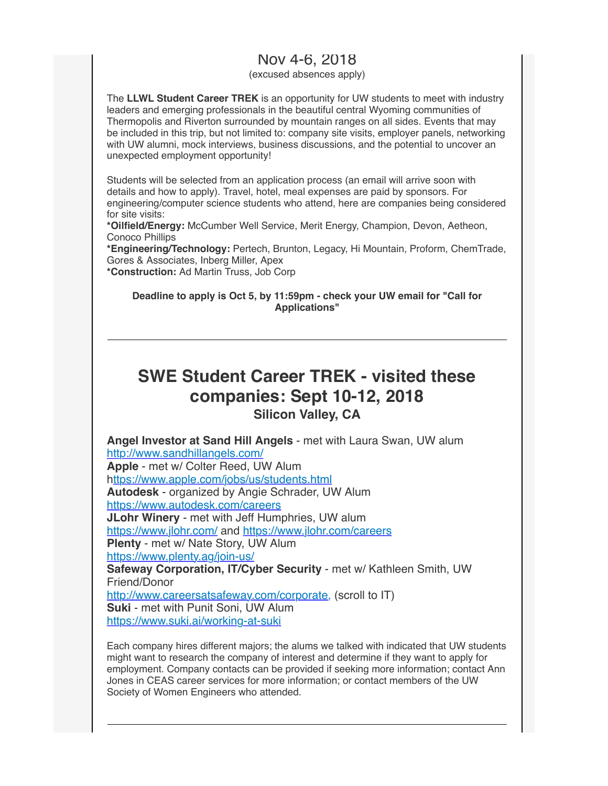### Nov 4-6, 2018

(excused absences apply)

The **LLWL Student Career TREK** is an opportunity for UW students to meet with industry leaders and emerging professionals in the beautiful central Wyoming communities of Thermopolis and Riverton surrounded by mountain ranges on all sides. Events that may be included in this trip, but not limited to: company site visits, employer panels, networking with UW alumni, mock interviews, business discussions, and the potential to uncover an unexpected employment opportunity!

Students will be selected from an application process (an email will arrive soon with details and how to apply). Travel, hotel, meal expenses are paid by sponsors. For engineering/computer science students who attend, here are companies being considered for site visits:

**\*Oilfield/Energy:** McCumber Well Service, Merit Energy, Champion, Devon, Aetheon, Conoco Phillips

**\*Engineering/Technology:** Pertech, Brunton, Legacy, Hi Mountain, Proform, ChemTrade, Gores & Associates, Inberg Miller, Apex **\*Construction:** Ad Martin Truss, Job Corp

**Deadline to apply is Oct 5, by 11:59pm - check your UW email for "Call for Applications"**

## **SWE Student Career TREK - visited these companies: Sept 10-12, 2018 Silicon Valley, CA**

**Angel Investor at Sand Hill Angels** - met with Laura Swan, UW alum [http://www.sandhillangels.com/](http://r20.rs6.net/tn.jsp?f=001eyy4utvacIx0nvRXKeoC4pIIAnz_KzeJQ7iagDUMvJZlr6wHFyam44kyjihxCZ5M96u_qvIz8UG61fqaBWVa_Q-04A7s-9GfvN_R08nNpOZ9nnwinCvk-M84wLbewZX8vbOh-zFTZmK4qa1of7Rt1Q==&c=B5j8l2snOhhvR7aYStrJnC0I9Ge1h82Ts5wrAcSV3rx5vgZCuKDipA==&ch=8SOXYk2sckVdQXs6o8qH-3ISfUzLrlZ2iqDA-1ouUbpYekWk3xecag==) **Apple** - met w/ Colter Reed, UW Alum [https://www.apple.com/jobs/us/students.html](http://r20.rs6.net/tn.jsp?f=001eyy4utvacIx0nvRXKeoC4pIIAnz_KzeJQ7iagDUMvJZlr6wHFyam44kyjihxCZ5MbRUEu0iZUxO8bZSftMuFKJiArJQKG-xLIqsHuW_l_V7w0RtnbGtH-h6YmdcIBQ9C4v2SR2wYbfxLeUl0ScTwveCGB1YFWFDBwIq4aPKVQlYGIZjbGkw8sw==&c=B5j8l2snOhhvR7aYStrJnC0I9Ge1h82Ts5wrAcSV3rx5vgZCuKDipA==&ch=8SOXYk2sckVdQXs6o8qH-3ISfUzLrlZ2iqDA-1ouUbpYekWk3xecag==) **Autodesk** - organized by Angie Schrader, UW Alum [https://www.autodesk.com/careers](http://r20.rs6.net/tn.jsp?f=001eyy4utvacIx0nvRXKeoC4pIIAnz_KzeJQ7iagDUMvJZlr6wHFyam44kyjihxCZ5MuGLgh8dkBxj3kzY0ed2neq73XToUzFq2ub81Wtptn1tRG8aKVz0SCpSnnuXh1jHKkH4p92JjdDdGZ_Aph1uitJHTCge_os7Y&c=B5j8l2snOhhvR7aYStrJnC0I9Ge1h82Ts5wrAcSV3rx5vgZCuKDipA==&ch=8SOXYk2sckVdQXs6o8qH-3ISfUzLrlZ2iqDA-1ouUbpYekWk3xecag==) **JLohr Winery** - met with Jeff Humphries, UW alum [https://www.jlohr.com/](http://r20.rs6.net/tn.jsp?f=001eyy4utvacIx0nvRXKeoC4pIIAnz_KzeJQ7iagDUMvJZlr6wHFyam44kyjihxCZ5MEAEdB5R6fMb5GlQuXephgeCr_Od3r6ITyfHUP203d_lUHyu3zBtt4zrg4VRZ1XTc-XFR4NMBST4=&c=B5j8l2snOhhvR7aYStrJnC0I9Ge1h82Ts5wrAcSV3rx5vgZCuKDipA==&ch=8SOXYk2sckVdQXs6o8qH-3ISfUzLrlZ2iqDA-1ouUbpYekWk3xecag==) and [https://www.jlohr.com/careers](http://r20.rs6.net/tn.jsp?f=001eyy4utvacIx0nvRXKeoC4pIIAnz_KzeJQ7iagDUMvJZlr6wHFyam44kyjihxCZ5MA_TAuNa3C3b8-A_hfw0igggDXuhvQIbVeaRLDMNJ7FNsWzZBi23RKqEJRRnQvFhhuUUKR--HudmHvJ-5UVAeMg==&c=B5j8l2snOhhvR7aYStrJnC0I9Ge1h82Ts5wrAcSV3rx5vgZCuKDipA==&ch=8SOXYk2sckVdQXs6o8qH-3ISfUzLrlZ2iqDA-1ouUbpYekWk3xecag==) **Plenty** - met w/ Nate Story, UW Alum [https://www.plenty.ag/join-us/](http://r20.rs6.net/tn.jsp?f=001eyy4utvacIx0nvRXKeoC4pIIAnz_KzeJQ7iagDUMvJZlr6wHFyam44kyjihxCZ5MYALTShGj_dDm5-yDuChkaCtdTE4es7ZCgqm1ARIkYesuUfTEkEEFD4cRhQpJ1ACLnlwVbNE_WtvfdcC0rOfVP8lOtQ5UanfK&c=B5j8l2snOhhvR7aYStrJnC0I9Ge1h82Ts5wrAcSV3rx5vgZCuKDipA==&ch=8SOXYk2sckVdQXs6o8qH-3ISfUzLrlZ2iqDA-1ouUbpYekWk3xecag==) **Safeway Corporation, IT/Cyber Security** - met w/ Kathleen Smith, UW Friend/Donor [http://www.careersatsafeway.com/corporate,](http://r20.rs6.net/tn.jsp?f=001eyy4utvacIx0nvRXKeoC4pIIAnz_KzeJQ7iagDUMvJZlr6wHFyam44kyjihxCZ5MmHY6gfrXrTTlHfEIHfe77MfsBF8KNJK7lfW4jJ0sNI9t0uHBG9NWn310kRqxKW4HUxRKr2D7SnS1KMC_3vyv9jCQDlhHj5ch-ORuflY2ksk=&c=B5j8l2snOhhvR7aYStrJnC0I9Ge1h82Ts5wrAcSV3rx5vgZCuKDipA==&ch=8SOXYk2sckVdQXs6o8qH-3ISfUzLrlZ2iqDA-1ouUbpYekWk3xecag==) (scroll to IT) **Suki** - met with Punit Soni, UW Alum [https://www.suki.ai/working-at-suki](http://r20.rs6.net/tn.jsp?f=001eyy4utvacIx0nvRXKeoC4pIIAnz_KzeJQ7iagDUMvJZlr6wHFyam44kyjihxCZ5MrJpRhEgGPTwy6rNgqPgtFM85FgsBTxmm_i7Jnebv-s_Oc3oaCP31RRRbYZpCOKpEgJzVP_L8g97u-LmpdKaFDxE-8d7N7T_6&c=B5j8l2snOhhvR7aYStrJnC0I9Ge1h82Ts5wrAcSV3rx5vgZCuKDipA==&ch=8SOXYk2sckVdQXs6o8qH-3ISfUzLrlZ2iqDA-1ouUbpYekWk3xecag==)

Each company hires different majors; the alums we talked with indicated that UW students might want to research the company of interest and determine if they want to apply for employment. Company contacts can be provided if seeking more information; contact Ann Jones in CEAS career services for more information; or contact members of the UW Society of Women Engineers who attended.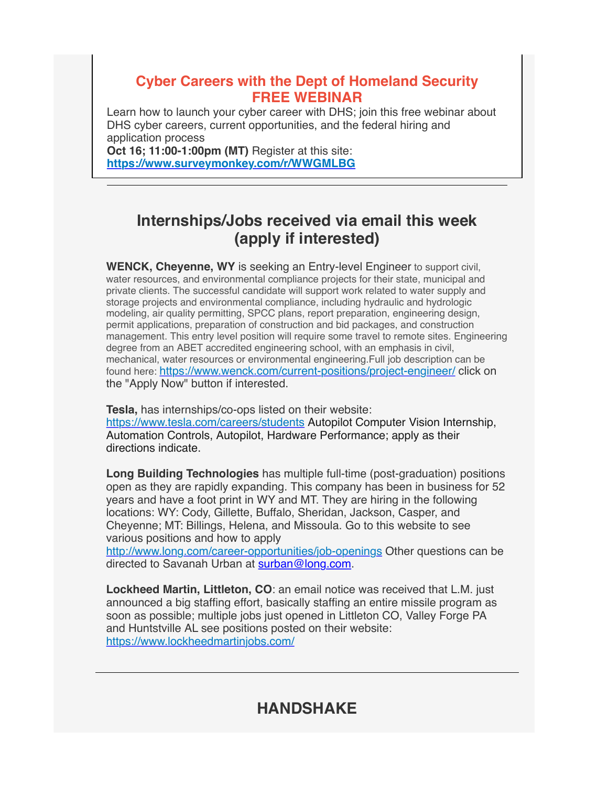#### **Cyber Careers with the Dept of Homeland Security FREE WEBINAR**

Learn how to launch your cyber career with DHS; join this free webinar about DHS cyber careers, current opportunities, and the federal hiring and application process

**Oct 16; 11:00-1:00pm (MT)** Register at this site: **[https://www.surveymonkey.com/r/WWGMLBG](http://r20.rs6.net/tn.jsp?f=001eyy4utvacIx0nvRXKeoC4pIIAnz_KzeJQ7iagDUMvJZlr6wHFyam44kyjihxCZ5MX-3v6Vt8lJUdN1mdfPOtkUPIxcJSfKND7EVsBhcTcR1Ukd9MuO4td0sc5STicXFMnLlfu_q9g8iz8-d-NuLwZi_eXlJKcd3IjHMOMIgLeWA=&c=B5j8l2snOhhvR7aYStrJnC0I9Ge1h82Ts5wrAcSV3rx5vgZCuKDipA==&ch=8SOXYk2sckVdQXs6o8qH-3ISfUzLrlZ2iqDA-1ouUbpYekWk3xecag==)**

## **Internships/Jobs received via email this week (apply if interested)**

**WENCK, Cheyenne, WY** is seeking an Entry-level Engineer to support civil, water resources, and environmental compliance projects for their state, municipal and private clients. The successful candidate will support work related to water supply and storage projects and environmental compliance, including hydraulic and hydrologic modeling, air quality permitting, SPCC plans, report preparation, engineering design, permit applications, preparation of construction and bid packages, and construction management. This entry level position will require some travel to remote sites. Engineering degree from an ABET accredited engineering school, with an emphasis in civil, mechanical, water resources or environmental engineering.Full job description can be found here: [https://www.wenck.com/current-positions/project-engineer/](http://r20.rs6.net/tn.jsp?f=001eyy4utvacIx0nvRXKeoC4pIIAnz_KzeJQ7iagDUMvJZlr6wHFyam44kyjihxCZ5MSx5c3k65hAnT4qeJz4xkxuDzSo1OxrFBqCe_4rr5Y9REE6mTorZSXuyBfRaK4hiQ8YKO2ObhpchovIJ1_4rXS9lHMJhmIzH59rAJo7X9NZ-jUtrAffF8fNVjJILg5OIK&c=B5j8l2snOhhvR7aYStrJnC0I9Ge1h82Ts5wrAcSV3rx5vgZCuKDipA==&ch=8SOXYk2sckVdQXs6o8qH-3ISfUzLrlZ2iqDA-1ouUbpYekWk3xecag==) click on the "Apply Now" button if interested.

**Tesla,** has internships/co-ops listed on their website: [https://www.tesla.com/careers/students](http://r20.rs6.net/tn.jsp?f=001eyy4utvacIx0nvRXKeoC4pIIAnz_KzeJQ7iagDUMvJZlr6wHFyam44kyjihxCZ5M24FIEntvPPXL1cIlzfB-gHJSJxIJKoIR_X_q-lH4Vh-jGkr0m5afpHHUcCffl73_W1njXhZisc6XyRkgD4g4ez_5yyYSSxGz2N575Uheu0Y=&c=B5j8l2snOhhvR7aYStrJnC0I9Ge1h82Ts5wrAcSV3rx5vgZCuKDipA==&ch=8SOXYk2sckVdQXs6o8qH-3ISfUzLrlZ2iqDA-1ouUbpYekWk3xecag==) Autopilot Computer Vision Internship, Automation Controls, Autopilot, Hardware Performance; apply as their directions indicate.

**Long Building Technologies** has multiple full-time (post-graduation) positions open as they are rapidly expanding. This company has been in business for 52 years and have a foot print in WY and MT. They are hiring in the following locations: WY: Cody, Gillette, Buffalo, Sheridan, Jackson, Casper, and Cheyenne; MT: Billings, Helena, and Missoula. Go to this website to see various positions and how to apply

[http://www.long.com/career-opportunities/job-openings](http://r20.rs6.net/tn.jsp?f=001eyy4utvacIx0nvRXKeoC4pIIAnz_KzeJQ7iagDUMvJZlr6wHFyam44kyjihxCZ5M4Sv93fh3LH_JK0iRbmsswk1NCHeAe_wwapZKgHVK6377YocIje4vQIWT_hdUx1O2WZliD8GRkvKrZYP1Qq66SKULF9Yoc7SW935eL3jiTM_-eAYyEj3RJmy-K5s1wvfK&c=B5j8l2snOhhvR7aYStrJnC0I9Ge1h82Ts5wrAcSV3rx5vgZCuKDipA==&ch=8SOXYk2sckVdQXs6o8qH-3ISfUzLrlZ2iqDA-1ouUbpYekWk3xecag==) Other questions can be directed to Savanah Urban at [surban@long.com.](mailto:surban@long.com)

**Lockheed Martin, Littleton, CO**: an email notice was received that L.M. just announced a big staffing effort, basically staffing an entire missile program as soon as possible; multiple jobs just opened in Littleton CO, Valley Forge PA and Huntstville AL see positions posted on their website: [https://www.lockheedmartinjobs.com/](http://r20.rs6.net/tn.jsp?f=001eyy4utvacIx0nvRXKeoC4pIIAnz_KzeJQ7iagDUMvJZlr6wHFyam44kyjihxCZ5M0oBZP3-RtB62E25qSh9rEkwPBXHaYwOoZ6rZiXNSiPYTtVelPfdfcHZ5PGaToKvg91j3HauPP_dY0phoUZBQh9TDmQsLFoA0&c=B5j8l2snOhhvR7aYStrJnC0I9Ge1h82Ts5wrAcSV3rx5vgZCuKDipA==&ch=8SOXYk2sckVdQXs6o8qH-3ISfUzLrlZ2iqDA-1ouUbpYekWk3xecag==)